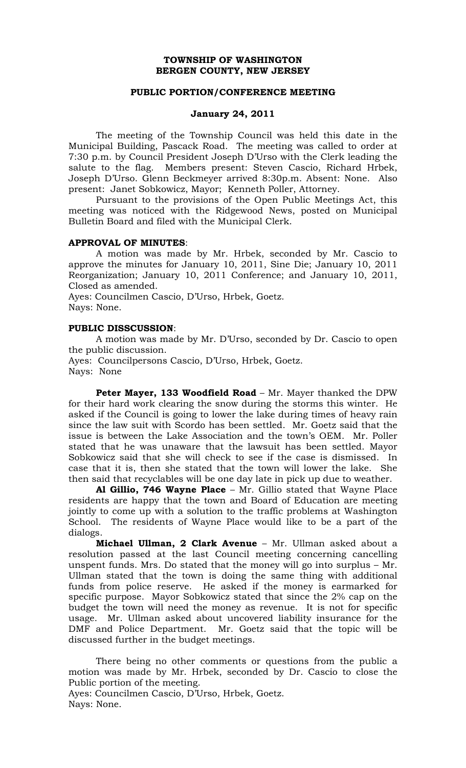# **TOWNSHIP OF WASHINGTON BERGEN COUNTY, NEW JERSEY**

## **PUBLIC PORTION/CONFERENCE MEETING**

# **January 24, 2011**

The meeting of the Township Council was held this date in the Municipal Building, Pascack Road. The meeting was called to order at 7:30 p.m. by Council President Joseph D'Urso with the Clerk leading the salute to the flag. Members present: Steven Cascio, Richard Hrbek, Joseph D'Urso. Glenn Beckmeyer arrived 8:30p.m. Absent: None. Also present: Janet Sobkowicz, Mayor; Kenneth Poller, Attorney.

 Pursuant to the provisions of the Open Public Meetings Act, this meeting was noticed with the Ridgewood News, posted on Municipal Bulletin Board and filed with the Municipal Clerk.

#### **APPROVAL OF MINUTES**:

 A motion was made by Mr. Hrbek, seconded by Mr. Cascio to approve the minutes for January 10, 2011, Sine Die; January 10, 2011 Reorganization; January 10, 2011 Conference; and January 10, 2011, Closed as amended.

Ayes: Councilmen Cascio, D'Urso, Hrbek, Goetz. Nays: None.

# **PUBLIC DISSCUSSION**:

A motion was made by Mr. D'Urso, seconded by Dr. Cascio to open the public discussion.

Ayes: Councilpersons Cascio, D'Urso, Hrbek, Goetz. Nays: None

**Peter Mayer, 133 Woodfield Road** – Mr. Mayer thanked the DPW for their hard work clearing the snow during the storms this winter. He asked if the Council is going to lower the lake during times of heavy rain since the law suit with Scordo has been settled. Mr. Goetz said that the issue is between the Lake Association and the town's OEM. Mr. Poller stated that he was unaware that the lawsuit has been settled. Mayor Sobkowicz said that she will check to see if the case is dismissed. In case that it is, then she stated that the town will lower the lake. She then said that recyclables will be one day late in pick up due to weather.

**Al Gillio, 746 Wayne Place** – Mr. Gillio stated that Wayne Place residents are happy that the town and Board of Education are meeting jointly to come up with a solution to the traffic problems at Washington School. The residents of Wayne Place would like to be a part of the dialogs.

**Michael Ullman, 2 Clark Avenue** – Mr. Ullman asked about a resolution passed at the last Council meeting concerning cancelling unspent funds. Mrs. Do stated that the money will go into surplus – Mr. Ullman stated that the town is doing the same thing with additional funds from police reserve. He asked if the money is earmarked for specific purpose. Mayor Sobkowicz stated that since the 2% cap on the budget the town will need the money as revenue. It is not for specific usage. Mr. Ullman asked about uncovered liability insurance for the DMF and Police Department. Mr. Goetz said that the topic will be discussed further in the budget meetings.

There being no other comments or questions from the public a motion was made by Mr. Hrbek, seconded by Dr. Cascio to close the Public portion of the meeting. Ayes: Councilmen Cascio, D'Urso, Hrbek, Goetz.

Nays: None.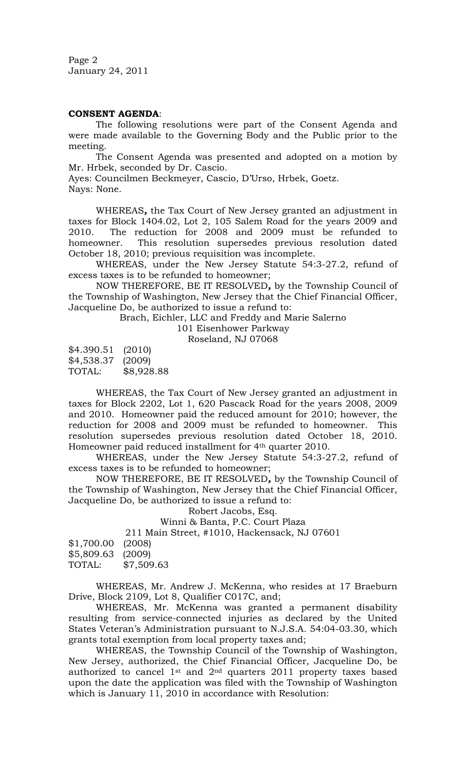Page 2 January 24, 2011

## **CONSENT AGENDA**:

 The following resolutions were part of the Consent Agenda and were made available to the Governing Body and the Public prior to the meeting.

The Consent Agenda was presented and adopted on a motion by Mr. Hrbek, seconded by Dr. Cascio.

Ayes: Councilmen Beckmeyer, Cascio, D'Urso, Hrbek, Goetz. Nays: None.

 WHEREAS*,* the Tax Court of New Jersey granted an adjustment in taxes for Block 1404.02, Lot 2, 105 Salem Road for the years 2009 and 2010. The reduction for 2008 and 2009 must be refunded to homeowner. This resolution supersedes previous resolution dated October 18, 2010; previous requisition was incomplete.

WHEREAS, under the New Jersey Statute 54:3-27.2, refund of excess taxes is to be refunded to homeowner;

NOW THEREFORE, BE IT RESOLVED*,* by the Township Council of the Township of Washington, New Jersey that the Chief Financial Officer, Jacqueline Do, be authorized to issue a refund to:

Brach, Eichler, LLC and Freddy and Marie Salerno

101 Eisenhower Parkway

Roseland, NJ 07068

\$4.390.51 (2010) \$4,538.37 (2009) TOTAL: \$8,928.88

WHEREAS, the Tax Court of New Jersey granted an adjustment in taxes for Block 2202, Lot 1, 620 Pascack Road for the years 2008, 2009 and 2010. Homeowner paid the reduced amount for 2010; however, the reduction for 2008 and 2009 must be refunded to homeowner. This resolution supersedes previous resolution dated October 18, 2010. Homeowner paid reduced installment for 4<sup>th</sup> quarter 2010.

WHEREAS, under the New Jersey Statute 54:3-27.2, refund of excess taxes is to be refunded to homeowner;

NOW THEREFORE, BE IT RESOLVED*,* by the Township Council of the Township of Washington, New Jersey that the Chief Financial Officer, Jacqueline Do, be authorized to issue a refund to:

Robert Jacobs, Esq.

Winni & Banta, P.C. Court Plaza

211 Main Street, #1010, Hackensack, NJ 07601

| $$1,700.00$ (2008) |            |
|--------------------|------------|
| \$5,809.63         | (2009)     |
| TOTAL:             | \$7,509.63 |

WHEREAS, Mr. Andrew J. McKenna, who resides at 17 Braeburn Drive, Block 2109, Lot 8, Qualifier C017C, and;

WHEREAS, Mr. McKenna was granted a permanent disability resulting from service-connected injuries as declared by the United States Veteran's Administration pursuant to N.J.S.A. 54:04-03.30, which grants total exemption from local property taxes and;

WHEREAS, the Township Council of the Township of Washington, New Jersey, authorized, the Chief Financial Officer, Jacqueline Do, be authorized to cancel  $1^{st}$  and  $2^{nd}$  quarters 2011 property taxes based upon the date the application was filed with the Township of Washington which is January 11, 2010 in accordance with Resolution: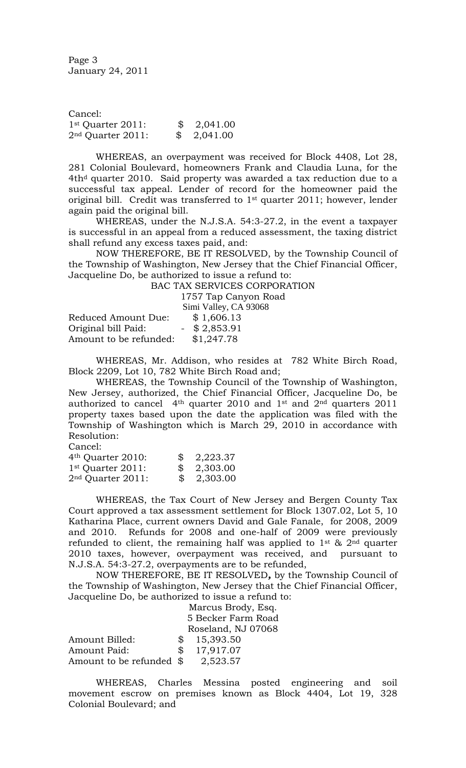Page 3 January 24, 2011

Cancel: 1st Quarter 2011: \$ 2,041.00 2nd Quarter 2011:\$ 2,041.00

WHEREAS, an overpayment was received for Block 4408, Lot 28, 281 Colonial Boulevard, homeowners Frank and Claudia Luna, for the 4th<sup>d</sup> quarter 2010. Said property was awarded a tax reduction due to a successful tax appeal. Lender of record for the homeowner paid the original bill. Credit was transferred to  $1<sup>st</sup>$  quarter 2011; however, lender again paid the original bill.

WHEREAS, under the N.J.S.A. 54:3-27.2, in the event a taxpayer is successful in an appeal from a reduced assessment, the taxing district shall refund any excess taxes paid, and:

NOW THEREFORE, BE IT RESOLVED, by the Township Council of the Township of Washington, New Jersey that the Chief Financial Officer, Jacqueline Do, be authorized to issue a refund to:

BAC TAX SERVICES CORPORATION 1757 Tap Canyon Road

|                        | Simi Valley, CA 93068 |
|------------------------|-----------------------|
| Reduced Amount Due:    | \$1,606.13            |
| Original bill Paid:    | $-$ \$ 2,853.91       |
| Amount to be refunded: | \$1,247.78            |

WHEREAS, Mr. Addison, who resides at 782 White Birch Road, Block 2209, Lot 10, 782 White Birch Road and;

WHEREAS, the Township Council of the Township of Washington, New Jersey, authorized, the Chief Financial Officer, Jacqueline Do, be authorized to cancel 4th quarter 2010 and 1st and 2nd quarters 2011 property taxes based upon the date the application was filed with the Township of Washington which is March 29, 2010 in accordance with Resolution:

Cancel:

| 4 <sup>th</sup> Quarter 2010: | $\$\quad 2,223.37$ |
|-------------------------------|--------------------|
| 1 <sup>st</sup> Quarter 2011: | \$2,303.00         |
| $2nd$ Quarter $2011$ :        | \$2,303.00         |

WHEREAS, the Tax Court of New Jersey and Bergen County Tax Court approved a tax assessment settlement for Block 1307.02, Lot 5, 10 Katharina Place, current owners David and Gale Fanale, for 2008, 2009 and 2010. Refunds for 2008 and one-half of 2009 were previously refunded to client, the remaining half was applied to  $1^{st}$  &  $2^{nd}$  quarter 2010 taxes, however, overpayment was received, and pursuant to N.J.S.A. 54:3-27.2, overpayments are to be refunded,

NOW THEREFORE, BE IT RESOLVED*,* by the Township Council of the Township of Washington, New Jersey that the Chief Financial Officer, Jacqueline Do, be authorized to issue a refund to:

|                           | Marcus Brody, Esq. |                    |  |
|---------------------------|--------------------|--------------------|--|
|                           | 5 Becker Farm Road |                    |  |
|                           |                    | Roseland, NJ 07068 |  |
| Amount Billed:            | \$                 | 15,393.50          |  |
| Amount Paid:              | \$                 | 17,917.07          |  |
| Amount to be refunded $\$ |                    | 2,523.57           |  |

WHEREAS, Charles Messina posted engineering and soil movement escrow on premises known as Block 4404, Lot 19, 328 Colonial Boulevard; and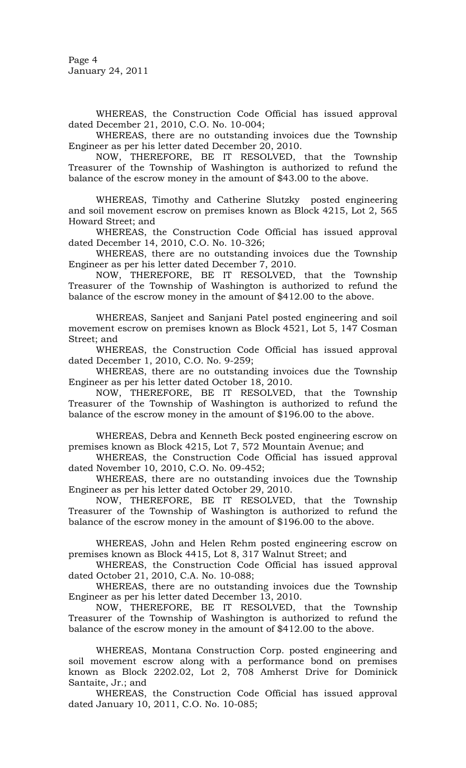Page 4 January 24, 2011

WHEREAS, the Construction Code Official has issued approval dated December 21, 2010, C.O. No. 10-004;

 WHEREAS, there are no outstanding invoices due the Township Engineer as per his letter dated December 20, 2010.

 NOW, THEREFORE, BE IT RESOLVED, that the Township Treasurer of the Township of Washington is authorized to refund the balance of the escrow money in the amount of \$43.00 to the above.

WHEREAS, Timothy and Catherine Slutzky posted engineering and soil movement escrow on premises known as Block 4215, Lot 2, 565 Howard Street; and

 WHEREAS, the Construction Code Official has issued approval dated December 14, 2010, C.O. No. 10-326;

 WHEREAS, there are no outstanding invoices due the Township Engineer as per his letter dated December 7, 2010.

 NOW, THEREFORE, BE IT RESOLVED, that the Township Treasurer of the Township of Washington is authorized to refund the balance of the escrow money in the amount of \$412.00 to the above.

WHEREAS, Sanjeet and Sanjani Patel posted engineering and soil movement escrow on premises known as Block 4521, Lot 5, 147 Cosman Street; and

 WHEREAS, the Construction Code Official has issued approval dated December 1, 2010, C.O. No. 9-259;

 WHEREAS, there are no outstanding invoices due the Township Engineer as per his letter dated October 18, 2010.

 NOW, THEREFORE, BE IT RESOLVED, that the Township Treasurer of the Township of Washington is authorized to refund the balance of the escrow money in the amount of \$196.00 to the above.

WHEREAS, Debra and Kenneth Beck posted engineering escrow on premises known as Block 4215, Lot 7, 572 Mountain Avenue; and

 WHEREAS, the Construction Code Official has issued approval dated November 10, 2010, C.O. No. 09-452;

 WHEREAS, there are no outstanding invoices due the Township Engineer as per his letter dated October 29, 2010.

 NOW, THEREFORE, BE IT RESOLVED, that the Township Treasurer of the Township of Washington is authorized to refund the balance of the escrow money in the amount of \$196.00 to the above.

WHEREAS, John and Helen Rehm posted engineering escrow on premises known as Block 4415, Lot 8, 317 Walnut Street; and

 WHEREAS, the Construction Code Official has issued approval dated October 21, 2010, C.A. No. 10-088;

 WHEREAS, there are no outstanding invoices due the Township Engineer as per his letter dated December 13, 2010.

 NOW, THEREFORE, BE IT RESOLVED, that the Township Treasurer of the Township of Washington is authorized to refund the balance of the escrow money in the amount of \$412.00 to the above.

WHEREAS, Montana Construction Corp. posted engineering and soil movement escrow along with a performance bond on premises known as Block 2202.02, Lot 2, 708 Amherst Drive for Dominick Santaite, Jr.; and

 WHEREAS, the Construction Code Official has issued approval dated January 10, 2011, C.O. No. 10-085;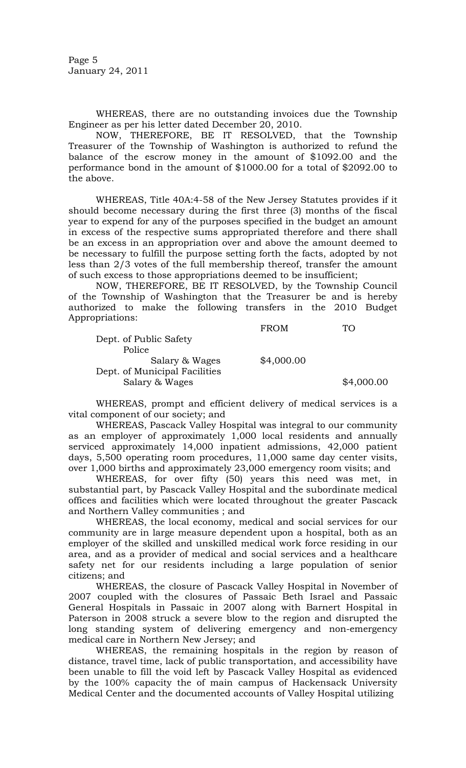Page 5 January 24, 2011

WHEREAS, there are no outstanding invoices due the Township Engineer as per his letter dated December 20, 2010.

 NOW, THEREFORE, BE IT RESOLVED, that the Township Treasurer of the Township of Washington is authorized to refund the balance of the escrow money in the amount of \$1092.00 and the performance bond in the amount of \$1000.00 for a total of \$2092.00 to the above.

 WHEREAS, Title 40A:4-58 of the New Jersey Statutes provides if it should become necessary during the first three (3) months of the fiscal year to expend for any of the purposes specified in the budget an amount in excess of the respective sums appropriated therefore and there shall be an excess in an appropriation over and above the amount deemed to be necessary to fulfill the purpose setting forth the facts, adopted by not less than 2/3 votes of the full membership thereof, transfer the amount of such excess to those appropriations deemed to be insufficient;

 NOW, THEREFORE, BE IT RESOLVED, by the Township Council of the Township of Washington that the Treasurer be and is hereby authorized to make the following transfers in the 2010 Budget Appropriations:

|        |                               | <b>FROM</b> | Г∩         |
|--------|-------------------------------|-------------|------------|
|        | Dept. of Public Safety        |             |            |
| Police |                               |             |            |
|        | Salary & Wages                | \$4,000.00  |            |
|        | Dept. of Municipal Facilities |             |            |
|        | Salary & Wages                |             | \$4,000.00 |

WHEREAS, prompt and efficient delivery of medical services is a vital component of our society; and

WHEREAS, Pascack Valley Hospital was integral to our community as an employer of approximately 1,000 local residents and annually serviced approximately 14,000 inpatient admissions, 42,000 patient days, 5,500 operating room procedures, 11,000 same day center visits, over 1,000 births and approximately 23,000 emergency room visits; and

WHEREAS, for over fifty (50) years this need was met, in substantial part, by Pascack Valley Hospital and the subordinate medical offices and facilities which were located throughout the greater Pascack and Northern Valley communities ; and

WHEREAS, the local economy, medical and social services for our community are in large measure dependent upon a hospital, both as an employer of the skilled and unskilled medical work force residing in our area, and as a provider of medical and social services and a healthcare safety net for our residents including a large population of senior citizens; and

WHEREAS, the closure of Pascack Valley Hospital in November of 2007 coupled with the closures of Passaic Beth Israel and Passaic General Hospitals in Passaic in 2007 along with Barnert Hospital in Paterson in 2008 struck a severe blow to the region and disrupted the long standing system of delivering emergency and non-emergency medical care in Northern New Jersey; and

WHEREAS, the remaining hospitals in the region by reason of distance, travel time, lack of public transportation, and accessibility have been unable to fill the void left by Pascack Valley Hospital as evidenced by the 100% capacity the of main campus of Hackensack University Medical Center and the documented accounts of Valley Hospital utilizing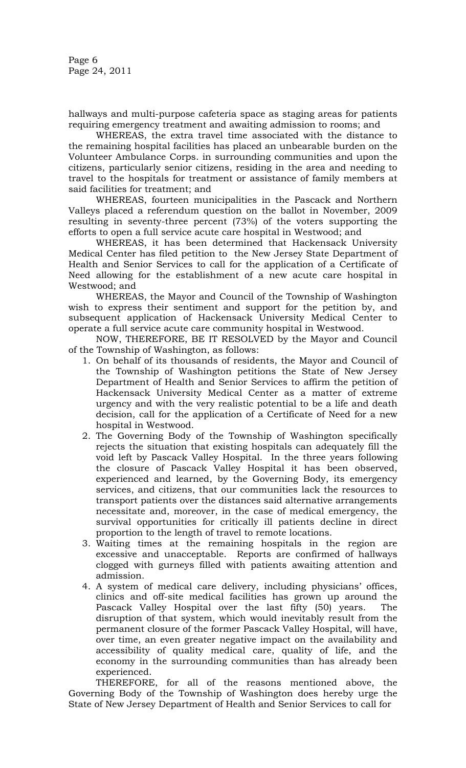hallways and multi-purpose cafeteria space as staging areas for patients requiring emergency treatment and awaiting admission to rooms; and

WHEREAS, the extra travel time associated with the distance to the remaining hospital facilities has placed an unbearable burden on the Volunteer Ambulance Corps. in surrounding communities and upon the citizens, particularly senior citizens, residing in the area and needing to travel to the hospitals for treatment or assistance of family members at said facilities for treatment; and

WHEREAS, fourteen municipalities in the Pascack and Northern Valleys placed a referendum question on the ballot in November, 2009 resulting in seventy-three percent (73%) of the voters supporting the efforts to open a full service acute care hospital in Westwood; and

WHEREAS, it has been determined that Hackensack University Medical Center has filed petition to the New Jersey State Department of Health and Senior Services to call for the application of a Certificate of Need allowing for the establishment of a new acute care hospital in Westwood; and

WHEREAS, the Mayor and Council of the Township of Washington wish to express their sentiment and support for the petition by, and subsequent application of Hackensack University Medical Center to operate a full service acute care community hospital in Westwood.

NOW, THEREFORE, BE IT RESOLVED by the Mayor and Council of the Township of Washington, as follows:

- 1. On behalf of its thousands of residents, the Mayor and Council of the Township of Washington petitions the State of New Jersey Department of Health and Senior Services to affirm the petition of Hackensack University Medical Center as a matter of extreme urgency and with the very realistic potential to be a life and death decision, call for the application of a Certificate of Need for a new hospital in Westwood.
- 2. The Governing Body of the Township of Washington specifically rejects the situation that existing hospitals can adequately fill the void left by Pascack Valley Hospital. In the three years following the closure of Pascack Valley Hospital it has been observed, experienced and learned, by the Governing Body, its emergency services, and citizens, that our communities lack the resources to transport patients over the distances said alternative arrangements necessitate and, moreover, in the case of medical emergency, the survival opportunities for critically ill patients decline in direct proportion to the length of travel to remote locations.
- 3. Waiting times at the remaining hospitals in the region are excessive and unacceptable. Reports are confirmed of hallways clogged with gurneys filled with patients awaiting attention and admission.
- 4. A system of medical care delivery, including physicians' offices, clinics and off-site medical facilities has grown up around the Pascack Valley Hospital over the last fifty (50) years. The disruption of that system, which would inevitably result from the permanent closure of the former Pascack Valley Hospital, will have, over time, an even greater negative impact on the availability and accessibility of quality medical care, quality of life, and the economy in the surrounding communities than has already been experienced.

THEREFORE, for all of the reasons mentioned above, the Governing Body of the Township of Washington does hereby urge the State of New Jersey Department of Health and Senior Services to call for